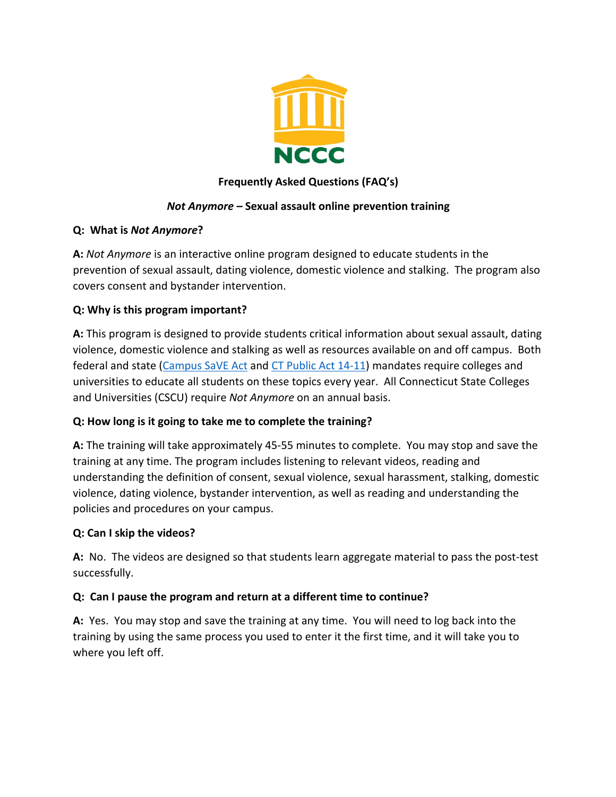

## **Frequently Asked Questions (FAQ's)**

### *Not Anymore –* **Sexual assault online prevention training**

#### **Q: What is** *Not Anymore***?**

**A:** *Not Anymore* is an interactive online program designed to educate students in the prevention of sexual assault, dating violence, domestic violence and stalking. The program also covers consent and bystander intervention.

### **Q: Why is this program important?**

**A:** This program is designed to provide students critical information about sexual assault, dating violence, domestic violence and stalking as well as resources available on and off campus. Both federal and state (Campus SaVE Act and CT Public Act 14-11) mandates require colleges and universities to educate all students on these topics every year. All Connecticut State Colleges and Universities (CSCU) require *Not Anymore* on an annual basis.

# **Q: How long is it going to take me to complete the training?**

**A:** The training will take approximately 45-55 minutes to complete. You may stop and save the training at any time. The program includes listening to relevant videos, reading and understanding the definition of consent, sexual violence, sexual harassment, stalking, domestic violence, dating violence, bystander intervention, as well as reading and understanding the policies and procedures on your campus.

#### **Q: Can I skip the videos?**

**A:** No. The videos are designed so that students learn aggregate material to pass the post-test successfully.

#### **Q: Can I pause the program and return at a different time to continue?**

**A:** Yes. You may stop and save the training at any time. You will need to log back into the training by using the same process you used to enter it the first time, and it will take you to where you left off.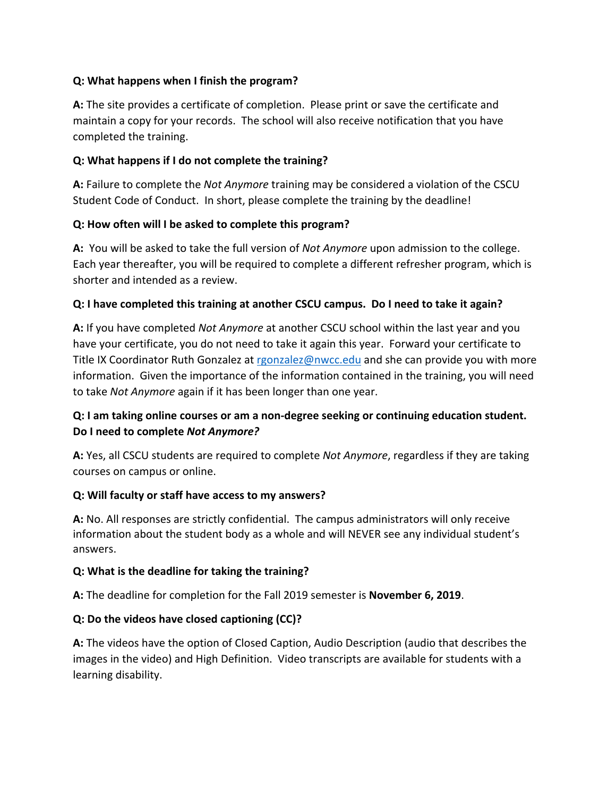### **Q: What happens when I finish the program?**

**A:** The site provides a certificate of completion. Please print or save the certificate and maintain a copy for your records. The school will also receive notification that you have completed the training.

### **Q: What happens if I do not complete the training?**

**A:** Failure to complete the *Not Anymore* training may be considered a violation of the CSCU Student Code of Conduct. In short, please complete the training by the deadline!

### **Q: How often will I be asked to complete this program?**

**A:** You will be asked to take the full version of *Not Anymore* upon admission to the college. Each year thereafter, you will be required to complete a different refresher program, which is shorter and intended as a review.

### **Q: I have completed this training at another CSCU campus. Do I need to take it again?**

**A:** If you have completed *Not Anymore* at another CSCU school within the last year and you have your certificate, you do not need to take it again this year. Forward your certificate to Title IX Coordinator Ruth Gonzalez at rgonzalez@nwcc.edu and she can provide you with more information. Given the importance of the information contained in the training, you will need to take *Not Anymore* again if it has been longer than one year.

# **Q: I am taking online courses or am a non-degree seeking or continuing education student. Do I need to complete** *Not Anymore?*

**A:** Yes, all CSCU students are required to complete *Not Anymore*, regardless if they are taking courses on campus or online.

#### **Q: Will faculty or staff have access to my answers?**

**A:** No. All responses are strictly confidential. The campus administrators will only receive information about the student body as a whole and will NEVER see any individual student's answers.

#### **Q: What is the deadline for taking the training?**

**A:** The deadline for completion for the Fall 2019 semester is **November 6, 2019**.

# **Q: Do the videos have closed captioning (CC)?**

**A:** The videos have the option of Closed Caption, Audio Description (audio that describes the images in the video) and High Definition. Video transcripts are available for students with a learning disability.